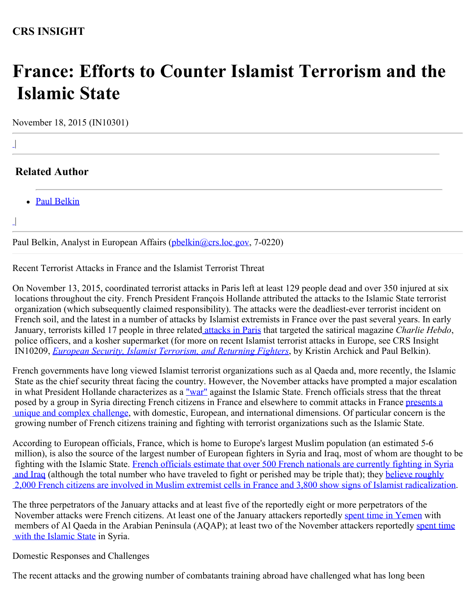## **France: Efforts to Counter Islamist Terrorism and the Islamic State**

November 18, 2015 (IN10301)

|  $\perp$ 

|

 $\perp$ 

## **Related Author**

• [Paul Belkin](http://www.crs.gov/Author/index?id=100862)

Paul Belkin, Analyst in European Affairs ([pbelkin@crs.loc.gov](mailto:pbelkin@crs.loc.gov), 7-0220)

Recent Terrorist Attacks in France and the Islamist Terrorist Threat

On November 13, 2015, coordinated terrorist attacks in Paris left at least 129 people dead and over 350 injured at six locations throughout the city. French President François Hollande attributed the attacks to the Islamic State terrorist organization (which subsequently claimed responsibility). The attacks were the deadliest-ever terrorist incident on French soil, and the latest in a number of attacks by Islamist extremists in France over the past several years. In early January, terrorists killed 17 people in three relate[d attacks in Paris](http://www.bbc.com/news/world-europe-30708237) that targeted the satirical magazine *Charlie Hebdo*, police officers, and a kosher supermarket (for more on recent Islamist terrorist attacks in Europe, see CRS Insight IN10209, *[European Security, Islamist Terrorism, and Returning Fighters](http://www.fas.org/sgp/crs/terror/IN10209.pdf)*, by Kristin Archick and Paul Belkin).

French governments have long viewed Islamist terrorist organizations such as al Qaeda and, more recently, the Islamic State as the chief security threat facing the country. However, the November attacks have prompted a major escalation in what President Hollande characterizes as a ["war"](http://ambafrance-us.org/spip.php?article7185) against the Islamic State. French officials stress that the threat posed by a group in Syria directing French citizens in France and elsewhere to commit attacks in France [presents a](http://www.nytimes.com/2015/11/17/opinion/frances-war-within.html?_r=0) [unique and complex challenge](http://www.nytimes.com/2015/11/17/opinion/frances-war-within.html?_r=0), with domestic, European, and international dimensions. Of particular concern is the growing number of French citizens training and fighting with terrorist organizations such as the Islamic State.

According to European officials, France, which is home to Europe's largest Muslim population (an estimated 5-6 million), is also the source of the largest number of European fighters in Syria and Iraq, most of whom are thought to be fighting with the Islamic State. [French officials estimate that over 500 French nationals are currently fighting in Syria](https://www.washingtonpost.com/world/national-security/caught-between-internal-and-external-terror-threats-france-struggles-to-cope/2015/11/14/c5e9fab0-8b00-11e5-9a07-453018f9a0ec_story.html) and Iraq (although the total number who have traveled to fight or perished may be triple that); they [believe roughly](http://www.ft.com/intl/cms/s/2/1069e45c-8aec-11e5-a549-b89a1dfede9b.html#axzz3raUP7URw)  [2,000 French citizens are involved in Muslim extremist cells in France and 3,800 show signs of Islamist radicalization](http://www.ft.com/intl/cms/s/2/1069e45c-8aec-11e5-a549-b89a1dfede9b.html#axzz3raUP7URw).

The three perpetrators of the January attacks and at least five of the reportedly eight or more perpetrators of the November attacks were French citizens. At least one of the January attackers reportedly [spent time in Yemen](http://www.nytimes.com/2015/01/15/world/europe/al-qaeda-in-the-arabian-peninsula-charlie-hebdo.html?_r=4) with members of Al Qaeda in the Arabian Peninsula (AQAP); at least two of the November attackers reportedly [spent time](http://www.france24.com/en/20151116-paris-attackers-suspects-what-we-know) with the Islamic State in Syria.

Domestic Responses and Challenges

The recent attacks and the growing number of combatants training abroad have challenged what has long been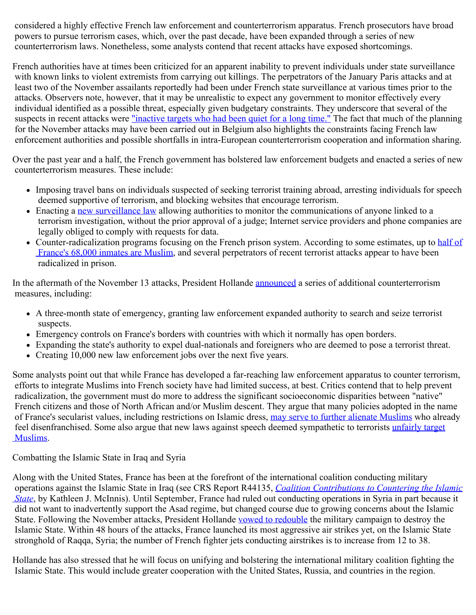considered a highly effective French law enforcement and counterterrorism apparatus. French prosecutors have broad powers to pursue terrorism cases, which, over the past decade, have been expanded through a series of new counterterrorism laws. Nonetheless, some analysts contend that recent attacks have exposed shortcomings.

French authorities have at times been criticized for an apparent inability to prevent individuals under state surveillance with known links to violent extremists from carrying out killings. The perpetrators of the January Paris attacks and at least two of the November assailants reportedly had been under French state surveillance at various times prior to the attacks. Observers note, however, that it may be unrealistic to expect any government to monitor effectively every individual identified as a possible threat, especially given budgetary constraints. They underscore that several of the suspects in recent attacks were <u>"inactive targets who had been quiet for a long time."</u> The fact that much of the planning for the November attacks may have been carried out in Belgium also highlights the constraints facing French law enforcement authorities and possible shortfalls in intra-European counterterrorism cooperation and information sharing.

Over the past year and a half, the French government has bolstered law enforcement budgets and enacted a series of new counterterrorism measures. These include:

- Imposing travel bans on individuals suspected of seeking terrorist training abroad, arresting individuals for speech deemed supportive of terrorism, and blocking websites that encourage terrorism.
- Enacting a [new surveillance law](http://www.theguardian.com/world/2015/may/05/france-passes-new-surveillance-law-in-wake-of-charlie-hebdo-attack) allowing authorities to monitor the communications of anyone linked to a terrorism investigation, without the prior approval of a judge; Internet service providers and phone companies are legally obliged to comply with requests for data.
- Counter-radicalization programs focusing on the French prison system. According to some estimates, up to [half of](http://www.nytimes.com/2015/01/26/opinion/the-mill-of-muslim-radicalism-in-france.html)  [France's 68,000 inmates are Muslim](http://www.nytimes.com/2015/01/26/opinion/the-mill-of-muslim-radicalism-in-france.html), and several perpetrators of recent terrorist attacks appear to have been radicalized in prison.

In the aftermath of the November 13 attacks, President Hollande **announced** a series of additional counterterrorism measures, including:

- A three-month state of emergency, granting law enforcement expanded authority to search and seize terrorist suspects.
- Emergency controls on France's borders with countries with which it normally has open borders.
- Expanding the state's authority to expel dual-nationals and foreigners who are deemed to pose a terrorist threat.
- Creating 10,000 new law enforcement jobs over the next five years.

Some analysts point out that while France has developed a far-reaching law enforcement apparatus to counter terrorism, efforts to integrate Muslims into French society have had limited success, at best. Critics contend that to help prevent radicalization, the government must do more to address the significant socioeconomic disparities between "native" French citizens and those of North African and/or Muslim descent. They argue that many policies adopted in the name of France's secularist values, including restrictions on Islamic dress, [may serve to further alienate Muslims](http://www.theguardian.com/world/2009/jun/22/islamic-veils-sarkozy-speech-france) who already feel disenfranchised. Some also argue that new laws against speech deemed sympathetic to terrorists [unfairly target](http://www.washingtonpost.com/world/parisians-line-for-blocks-for-new-charlie-hebdo-authorities-detain-comedian/2015/01/14/5a25ad74-9bc8-11e4-bcfb-059ec7a93ddc_story.html)  [Muslims](http://www.washingtonpost.com/world/parisians-line-for-blocks-for-new-charlie-hebdo-authorities-detain-comedian/2015/01/14/5a25ad74-9bc8-11e4-bcfb-059ec7a93ddc_story.html).

## Combatting the Islamic State in Iraq and Syria

Along with the United States, France has been at the forefront of the international coalition conducting military operations against the Islamic State in Iraq (see CRS Report R44135, *[Coalition Contributions to Countering the Islamic](http://www.fas.org/sgp/crs/natsec/R44135.pdf)  [State](http://www.fas.org/sgp/crs/natsec/R44135.pdf)*, by Kathleen J. McInnis). Until September, France had ruled out conducting operations in Syria in part because it did not want to inadvertently support the Asad regime, but changed course due to growing concerns about the Islamic State. Following the November attacks, President Hollande [vowed to redouble](http://ambafrance-us.org/spip.php?article7185) the military campaign to destroy the Islamic State. Within 48 hours of the attacks, France launched its most aggressive air strikes yet, on the Islamic State stronghold of Raqqa, Syria; the number of French fighter jets conducting airstrikes is to increase from 12 to 38.

Hollande has also stressed that he will focus on unifying and bolstering the international military coalition fighting the Islamic State. This would include greater cooperation with the United States, Russia, and countries in the region.